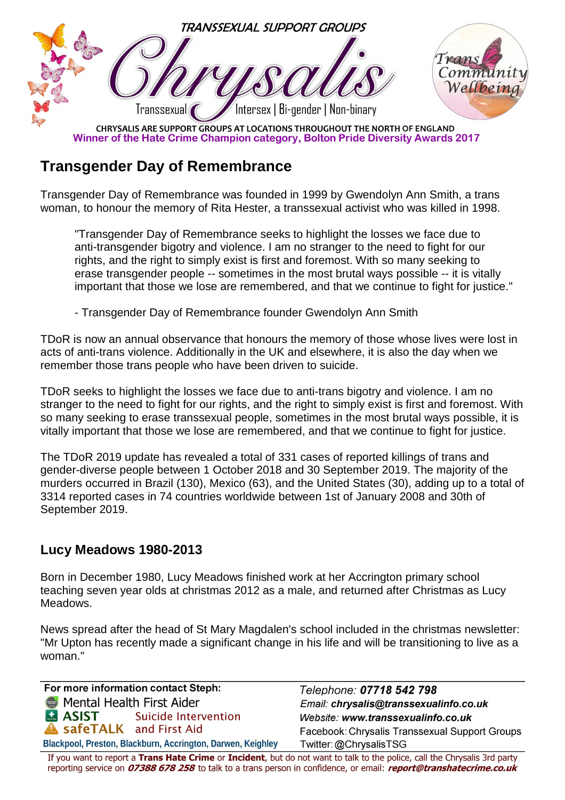

Winner of the Hate Crime Champion category, Bolton Pride Diversity Awards 2017

## **Transgender Day of Remembrance**

Transgender Day of Remembrance was founded in 1999 by Gwendolyn Ann Smith, a trans woman, to honour the memory of Rita Hester, a transsexual activist who was killed in 1998.

 "Transgender Day of Remembrance seeks to highlight the losses we face due to anti-transgender bigotry and violence. I am no stranger to the need to fight for our rights, and the right to simply exist is first and foremost. With so many seeking to erase transgender people -- sometimes in the most brutal ways possible -- it is vitally important that those we lose are remembered, and that we continue to fight for justice."

- Transgender Day of Remembrance founder Gwendolyn Ann Smith

TDoR is now an annual observance that honours the memory of those whose lives were lost in acts of anti-trans violence. Additionally in the UK and elsewhere, it is also the day when we remember those trans people who have been driven to suicide.

TDoR seeks to highlight the losses we face due to anti-trans bigotry and violence. I am no stranger to the need to fight for our rights, and the right to simply exist is first and foremost. With so many seeking to erase transsexual people, sometimes in the most brutal ways possible, it is vitally important that those we lose are remembered, and that we continue to fight for justice.

The TDoR 2019 update has revealed a total of 331 cases of reported killings of trans and gender-diverse people between 1 October 2018 and 30 September 2019. The majority of the murders occurred in Brazil (130), Mexico (63), and the United States (30), adding up to a total of 3314 reported cases in 74 countries worldwide between 1st of January 2008 and 30th of September 2019.

## **Lucy Meadows 1980-2013**

Born in December 1980, Lucy Meadows finished work at her Accrington primary school teaching seven year olds at christmas 2012 as a male, and returned after Christmas as Lucy Meadows.

News spread after the head of St Mary Magdalen's school included in the christmas newsletter: "Mr Upton has recently made a significant change in his life and will be transitioning to live as a woman."

For more information contact Steph: Mental Health First Aider **MASIST** Suicide Intervention **A safeTALK** and First Aid Blackpool, Preston, Blackburn, Accrington, Darwen, Keighley

Telephone: 07718 542 798 Email: chrysalis@transsexualinfo.co.uk Website: www.transsexualinfo.co.uk Facebook: Chrysalis Transsexual Support Groups Twitter: @ChrysalisTSG

If you want to report a Trans Hate Crime or Incident, but do not want to talk to the police, call the Chrysalis 3rd party reporting service on 07388 678 258 to talk to a trans person in confidence, or email: report@transhatecrime.co.uk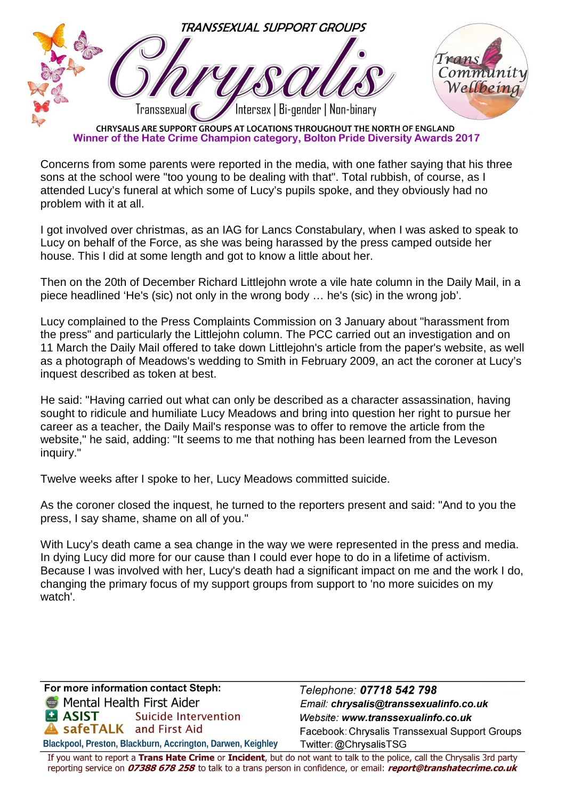

Winner of the Hate Crime Champion category, Bolton Pride Diversity Awards 2017

Concerns from some parents were reported in the media, with one father saying that his three sons at the school were "too young to be dealing with that". Total rubbish, of course, as I attended Lucy's funeral at which some of Lucy's pupils spoke, and they obviously had no problem with it at all.

I got involved over christmas, as an IAG for Lancs Constabulary, when I was asked to speak to Lucy on behalf of the Force, as she was being harassed by the press camped outside her house. This I did at some length and got to know a little about her.

Then on the 20th of December Richard Littlejohn wrote a vile hate column in the Daily Mail, in a piece headlined 'He's (sic) not only in the wrong body … he's (sic) in the wrong job'.

Lucy complained to the Press Complaints Commission on 3 January about "harassment from the press" and particularly the Littlejohn column. The PCC carried out an investigation and on 11 March the Daily Mail offered to take down Littlejohn's article from the paper's website, as well as a photograph of Meadows's wedding to Smith in February 2009, an act the coroner at Lucy's inquest described as token at best.

He said: "Having carried out what can only be described as a character assassination, having sought to ridicule and humiliate Lucy Meadows and bring into question her right to pursue her career as a teacher, the Daily Mail's response was to offer to remove the article from the website," he said, adding: "It seems to me that nothing has been learned from the Leveson inquiry."

Twelve weeks after I spoke to her, Lucy Meadows committed suicide.

As the coroner closed the inquest, he turned to the reporters present and said: "And to you the press, I say shame, shame on all of you."

With Lucy's death came a sea change in the way we were represented in the press and media. In dying Lucy did more for our cause than I could ever hope to do in a lifetime of activism. Because I was involved with her, Lucy's death had a significant impact on me and the work I do, changing the primary focus of my support groups from support to 'no more suicides on my watch'.

For more information contact Steph: Mental Health First Aider **MASIST** Suicide Intervention safeTALK and First Aid Blackpool, Preston, Blackburn, Accrington, Darwen, Keighley

Telephone: 07718 542 798 Email: chrysalis@transsexualinfo.co.uk Website: www.transsexualinfo.co.uk Facebook: Chrysalis Transsexual Support Groups Twitter: @ChrysalisTSG

If you want to report a Trans Hate Crime or Incident, but do not want to talk to the police, call the Chrysalis 3rd party reporting service on 07388 678 258 to talk to a trans person in confidence, or email: report@transhatecrime.co.uk